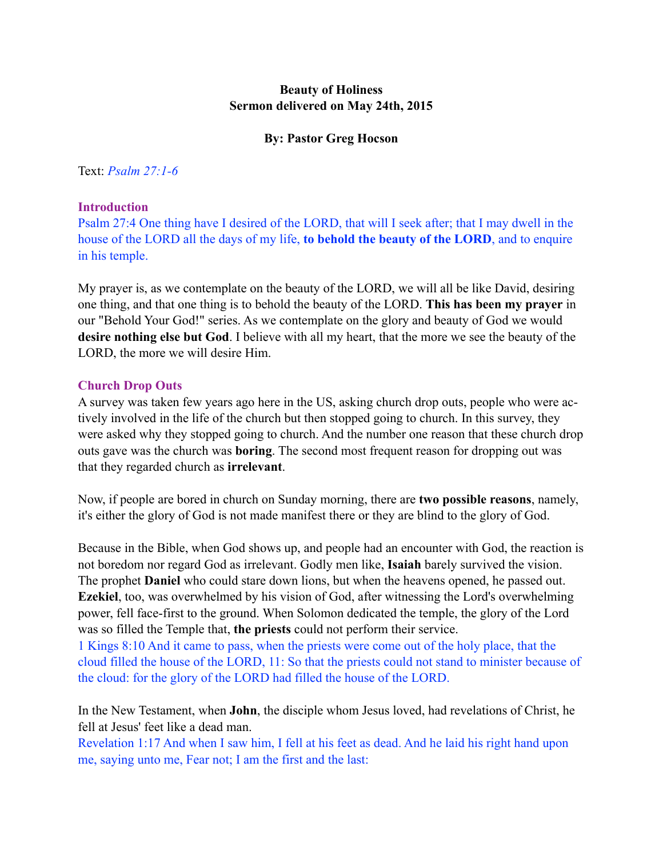# **Beauty of Holiness Sermon delivered on May 24th, 2015**

# **By: Pastor Greg Hocson**

Text: *Psalm 27:1-6*

## **Introduction**

Psalm 27:4 One thing have I desired of the LORD, that will I seek after; that I may dwell in the house of the LORD all the days of my life, **to behold the beauty of the LORD**, and to enquire in his temple.

My prayer is, as we contemplate on the beauty of the LORD, we will all be like David, desiring one thing, and that one thing is to behold the beauty of the LORD. **This has been my prayer** in our "Behold Your God!" series. As we contemplate on the glory and beauty of God we would **desire nothing else but God**. I believe with all my heart, that the more we see the beauty of the LORD, the more we will desire Him.

## **Church Drop Outs**

A survey was taken few years ago here in the US, asking church drop outs, people who were actively involved in the life of the church but then stopped going to church. In this survey, they were asked why they stopped going to church. And the number one reason that these church drop outs gave was the church was **boring**. The second most frequent reason for dropping out was that they regarded church as **irrelevant**.

Now, if people are bored in church on Sunday morning, there are **two possible reasons**, namely, it's either the glory of God is not made manifest there or they are blind to the glory of God.

Because in the Bible, when God shows up, and people had an encounter with God, the reaction is not boredom nor regard God as irrelevant. Godly men like, **Isaiah** barely survived the vision. The prophet **Daniel** who could stare down lions, but when the heavens opened, he passed out. **Ezekiel**, too, was overwhelmed by his vision of God, after witnessing the Lord's overwhelming power, fell face-first to the ground. When Solomon dedicated the temple, the glory of the Lord was so filled the Temple that, **the priests** could not perform their service.

1 Kings 8:10 And it came to pass, when the priests were come out of the holy place, that the cloud filled the house of the LORD, 11: So that the priests could not stand to minister because of the cloud: for the glory of the LORD had filled the house of the LORD.

In the New Testament, when **John**, the disciple whom Jesus loved, had revelations of Christ, he fell at Jesus' feet like a dead man.

Revelation 1:17 And when I saw him, I fell at his feet as dead. And he laid his right hand upon me, saying unto me, Fear not; I am the first and the last: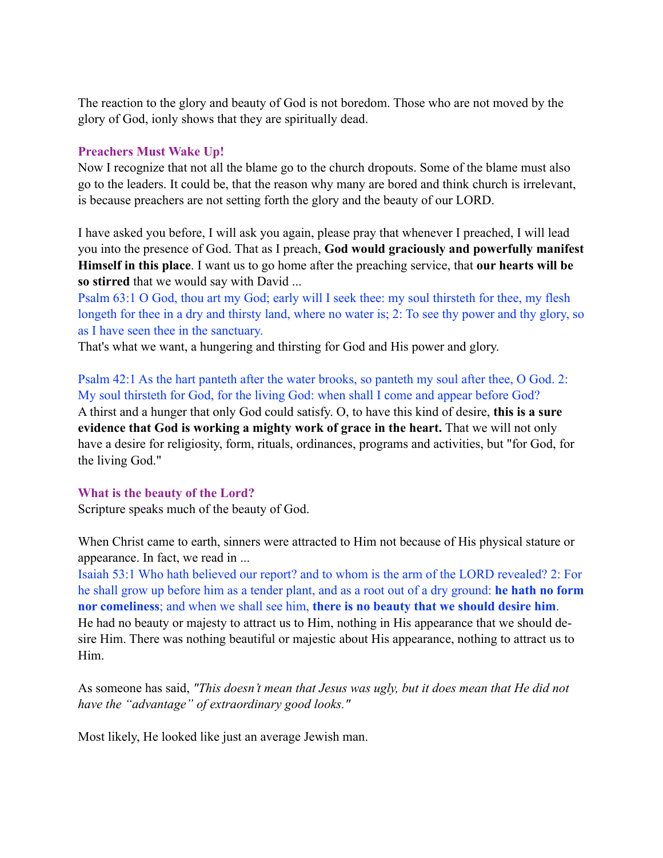The reaction to the glory and beauty of God is not boredom. Those who are not moved by the glory of God, ionly shows that they are spiritually dead.

## **Preachers Must Wake Up!**

Now I recognize that not all the blame go to the church dropouts. Some of the blame must also go to the leaders. It could be, that the reason why many are bored and think church is irrelevant, is because preachers are not setting forth the glory and the beauty of our LORD.

I have asked you before, I will ask you again, please pray that whenever I preached, I will lead you into the presence of God. That as I preach, **God would graciously and powerfully manifest Himself in this place**. I want us to go home after the preaching service, that **our hearts will be so stirred** that we would say with David ...

Psalm 63:1 O God, thou art my God; early will I seek thee: my soul thirsteth for thee, my flesh longeth for thee in a dry and thirsty land, where no water is; 2: To see thy power and thy glory, so as I have seen thee in the sanctuary.

That's what we want, a hungering and thirsting for God and His power and glory.

Psalm 42:1 As the hart panteth after the water brooks, so panteth my soul after thee, O God. 2: My soul thirsteth for God, for the living God: when shall I come and appear before God? A thirst and a hunger that only God could satisfy. O, to have this kind of desire, **this is a sure evidence that God is working a mighty work of grace in the heart.** That we will not only have a desire for religiosity, form, rituals, ordinances, programs and activities, but "for God, for the living God."

#### **What is the beauty of the Lord?**

Scripture speaks much of the beauty of God.

When Christ came to earth, sinners were attracted to Him not because of His physical stature or appearance. In fact, we read in ...

Isaiah 53:1 Who hath believed our report? and to whom is the arm of the LORD revealed? 2: For he shall grow up before him as a tender plant, and as a root out of a dry ground: **he hath no form nor comeliness**; and when we shall see him, **there is no beauty that we should desire him**. He had no beauty or majesty to attract us to Him, nothing in His appearance that we should desire Him. There was nothing beautiful or majestic about His appearance, nothing to attract us to Him.

As someone has said, *"This doesn't mean that Jesus was ugly, but it does mean that He did not have the "advantage" of extraordinary good looks."* 

Most likely, He looked like just an average Jewish man.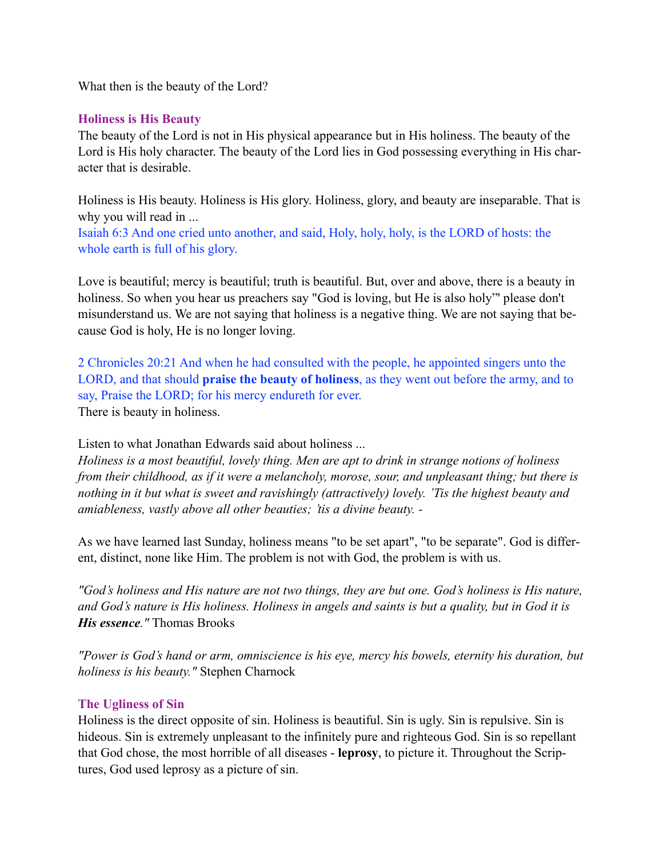What then is the beauty of the Lord?

# **Holiness is His Beauty**

The beauty of the Lord is not in His physical appearance but in His holiness. The beauty of the Lord is His holy character. The beauty of the Lord lies in God possessing everything in His character that is desirable.

Holiness is His beauty. Holiness is His glory. Holiness, glory, and beauty are inseparable. That is why you will read in ...

Isaiah 6:3 And one cried unto another, and said, Holy, holy, holy, is the LORD of hosts: the whole earth is full of his glory.

Love is beautiful; mercy is beautiful; truth is beautiful. But, over and above, there is a beauty in holiness. So when you hear us preachers say "God is loving, but He is also holy"' please don't misunderstand us. We are not saying that holiness is a negative thing. We are not saying that because God is holy, He is no longer loving.

2 Chronicles 20:21 And when he had consulted with the people, he appointed singers unto the LORD, and that should **praise the beauty of holiness**, as they went out before the army, and to say, Praise the LORD; for his mercy endureth for ever. There is beauty in holiness.

Listen to what Jonathan Edwards said about holiness ...

*Holiness is a most beautiful, lovely thing. Men are apt to drink in strange notions of holiness from their childhood, as if it were a melancholy, morose, sour, and unpleasant thing; but there is nothing in it but what is sweet and ravishingly (attractively) lovely. 'Tis the highest beauty and amiableness, vastly above all other beauties; 'tis a divine beauty. -* 

As we have learned last Sunday, holiness means "to be set apart", "to be separate". God is different, distinct, none like Him. The problem is not with God, the problem is with us.

*"God's holiness and His nature are not two things, they are but one. God's holiness is His nature, and God's nature is His holiness. Holiness in angels and saints is but a quality, but in God it is His essence."* Thomas Brooks

*"Power is God's hand or arm, omniscience is his eye, mercy his bowels, eternity his duration, but holiness is his beauty."* Stephen Charnock

# **The Ugliness of Sin**

Holiness is the direct opposite of sin. Holiness is beautiful. Sin is ugly. Sin is repulsive. Sin is hideous. Sin is extremely unpleasant to the infinitely pure and righteous God. Sin is so repellant that God chose, the most horrible of all diseases - **leprosy**, to picture it. Throughout the Scriptures, God used leprosy as a picture of sin.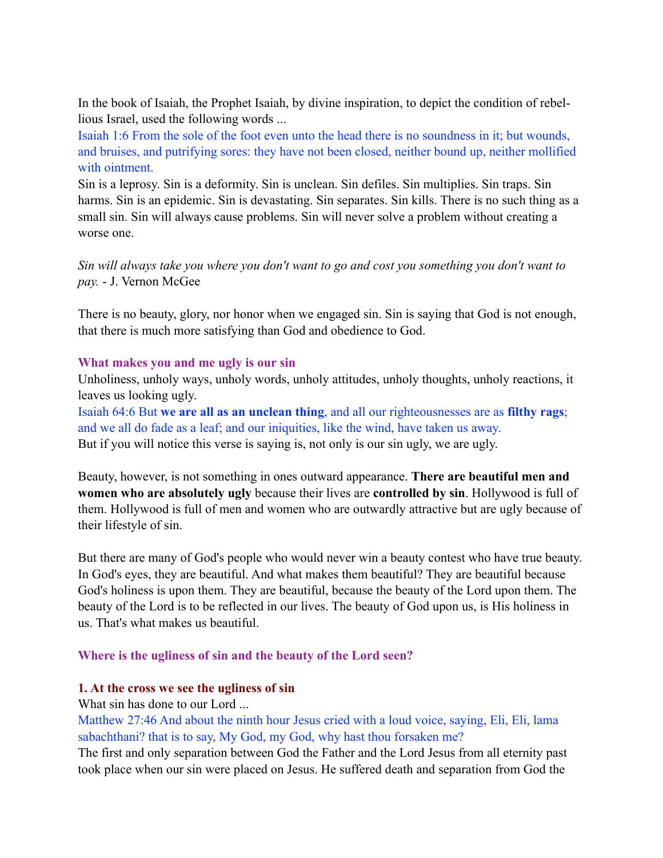In the book of Isaiah, the Prophet Isaiah, by divine inspiration, to depict the condition of rebellious Israel, used the following words ...

Isaiah 1:6 From the sole of the foot even unto the head there is no soundness in it; but wounds, and bruises, and putrifying sores: they have not been closed, neither bound up, neither mollified with ointment.

Sin is a leprosy. Sin is a deformity. Sin is unclean. Sin defiles. Sin multiplies. Sin traps. Sin harms. Sin is an epidemic. Sin is devastating. Sin separates. Sin kills. There is no such thing as a small sin. Sin will always cause problems. Sin will never solve a problem without creating a worse one.

*Sin will always take you where you don't want to go and cost you something you don't want to pay.* - J. Vernon McGee

There is no beauty, glory, nor honor when we engaged sin. Sin is saying that God is not enough, that there is much more satisfying than God and obedience to God.

#### **What makes you and me ugly is our sin**

Unholiness, unholy ways, unholy words, unholy attitudes, unholy thoughts, unholy reactions, it leaves us looking ugly.

Isaiah 64:6 But **we are all as an unclean thing**, and all our righteousnesses are as **filthy rags**; and we all do fade as a leaf; and our iniquities, like the wind, have taken us away. But if you will notice this verse is saying is, not only is our sin ugly, we are ugly.

Beauty, however, is not something in ones outward appearance. **There are beautiful men and women who are absolutely ugly** because their lives are **controlled by sin**. Hollywood is full of them. Hollywood is full of men and women who are outwardly attractive but are ugly because of their lifestyle of sin.

But there are many of God's people who would never win a beauty contest who have true beauty. In God's eyes, they are beautiful. And what makes them beautiful? They are beautiful because God's holiness is upon them. They are beautiful, because the beauty of the Lord upon them. The beauty of the Lord is to be reflected in our lives. The beauty of God upon us, is His holiness in us. That's what makes us beautiful.

#### **Where is the ugliness of sin and the beauty of the Lord seen?**

#### **1. At the cross we see the ugliness of sin**

What sin has done to our Lord ...

Matthew 27:46 And about the ninth hour Jesus cried with a loud voice, saying, Eli, Eli, lama sabachthani? that is to say, My God, my God, why hast thou forsaken me?

The first and only separation between God the Father and the Lord Jesus from all eternity past took place when our sin were placed on Jesus. He suffered death and separation from God the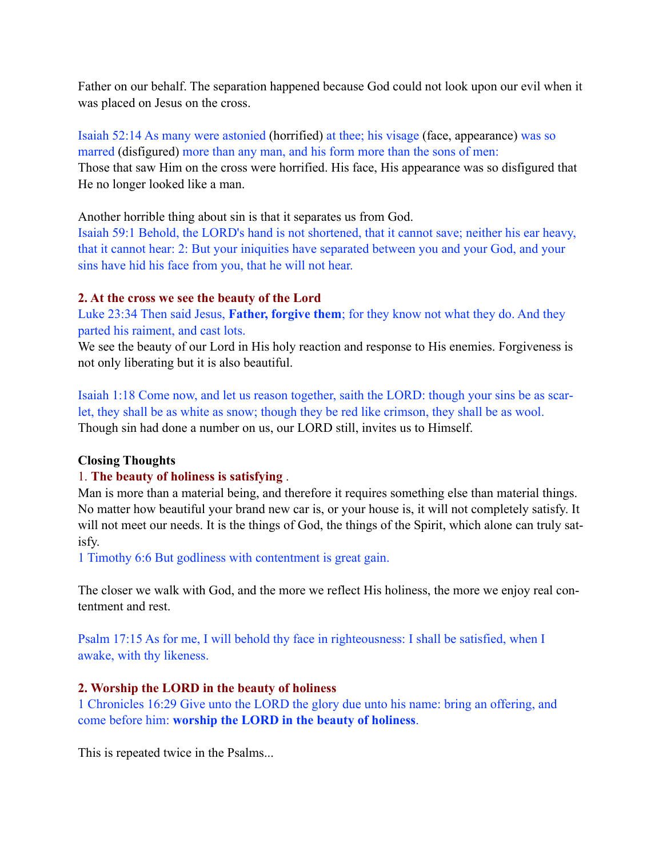Father on our behalf. The separation happened because God could not look upon our evil when it was placed on Jesus on the cross.

Isaiah 52:14 As many were astonied (horrified) at thee; his visage (face, appearance) was so marred (disfigured) more than any man, and his form more than the sons of men: Those that saw Him on the cross were horrified. His face, His appearance was so disfigured that He no longer looked like a man.

Another horrible thing about sin is that it separates us from God.

Isaiah 59:1 Behold, the LORD's hand is not shortened, that it cannot save; neither his ear heavy, that it cannot hear: 2: But your iniquities have separated between you and your God, and your sins have hid his face from you, that he will not hear.

# **2. At the cross we see the beauty of the Lord**

Luke 23:34 Then said Jesus, **Father, forgive them**; for they know not what they do. And they parted his raiment, and cast lots.

We see the beauty of our Lord in His holy reaction and response to His enemies. Forgiveness is not only liberating but it is also beautiful.

Isaiah 1:18 Come now, and let us reason together, saith the LORD: though your sins be as scarlet, they shall be as white as snow; though they be red like crimson, they shall be as wool. Though sin had done a number on us, our LORD still, invites us to Himself.

# **Closing Thoughts**

# 1. **The beauty of holiness is satisfying** .

Man is more than a material being, and therefore it requires something else than material things. No matter how beautiful your brand new car is, or your house is, it will not completely satisfy. It will not meet our needs. It is the things of God, the things of the Spirit, which alone can truly satisfy.

1 Timothy 6:6 But godliness with contentment is great gain.

The closer we walk with God, and the more we reflect His holiness, the more we enjoy real contentment and rest.

Psalm 17:15 As for me, I will behold thy face in righteousness: I shall be satisfied, when I awake, with thy likeness.

# **2. Worship the LORD in the beauty of holiness**

1 Chronicles 16:29 Give unto the LORD the glory due unto his name: bring an offering, and come before him: **worship the LORD in the beauty of holiness**.

This is repeated twice in the Psalms...